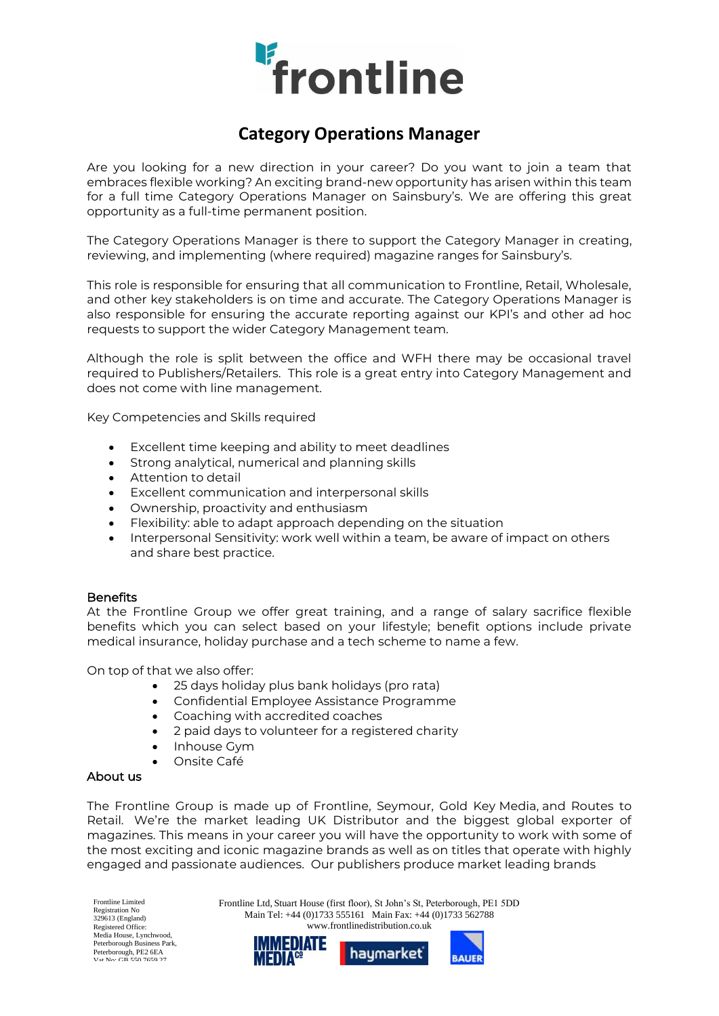

# **Category Operations Manager**

Are you looking for a new direction in your career? Do you want to join a team that embraces flexible working? An exciting brand-new opportunity has arisen within this team for a full time Category Operations Manager on Sainsbury's. We are offering this great opportunity as a full-time permanent position.

The Category Operations Manager is there to support the Category Manager in creating, reviewing, and implementing (where required) magazine ranges for Sainsbury's.

This role is responsible for ensuring that all communication to Frontline, Retail, Wholesale, and other key stakeholders is on time and accurate. The Category Operations Manager is also responsible for ensuring the accurate reporting against our KPI's and other ad hoc requests to support the wider Category Management team.

Although the role is split between the office and WFH there may be occasional travel required to Publishers/Retailers. This role is a great entry into Category Management and does not come with line management.

Key Competencies and Skills required

- Excellent time keeping and ability to meet deadlines
- Strong analytical, numerical and planning skills
- Attention to detail
- Excellent communication and interpersonal skills
- Ownership, proactivity and enthusiasm
- Flexibility: able to adapt approach depending on the situation
- Interpersonal Sensitivity: work well within a team, be aware of impact on others and share best practice.

#### **Benefits**

At the Frontline Group we offer great training, and a range of salary sacrifice flexible benefits which you can select based on your lifestyle; benefit options include private medical insurance, holiday purchase and a tech scheme to name a few.

On top of that we also offer:

- 25 days holiday plus bank holidays (pro rata)
- Confidential Employee Assistance Programme
- Coaching with accredited coaches
- 2 paid days to volunteer for a registered charity
- Inhouse Gym
- Onsite Café

#### About us

The Frontline Group is made up of Frontline, Seymour, Gold Key Media, and Routes to Retail. We're the market leading UK Distributor and the biggest global exporter of magazines. This means in your career you will have the opportunity to work with some of the most exciting and iconic magazine brands as well as on titles that operate with highly engaged and passionate audiences. Our publishers produce market leading brands

Frontline Limited Registration No 329613 (England) Registered Office: Media House, Lynchwood, Peterborough Business Park, Peterborough, PE2 6EA<br>Vat No: GB 550 7659 27

Frontline Ltd, Stuart House (first floor), St John's St, Peterborough, PE1 5DD Main Tel: +44 (0)1733 555161 Main Fax: +44 (0)1733 562788 www.frontlinedistribution.co.uk